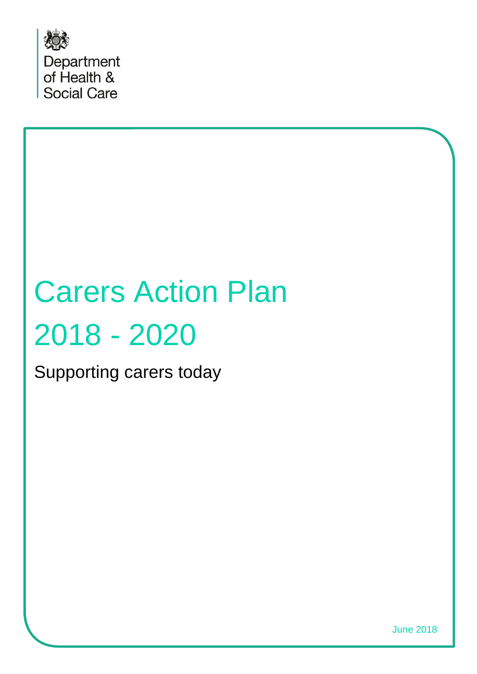

# Carers Action Plan 2018 - 2020

Supporting carers today

June 2018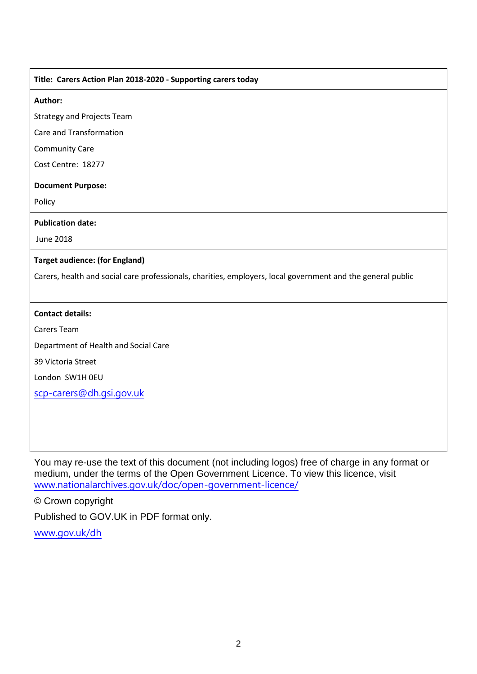#### **Title: Carers Action Plan 2018-2020 - Supporting carers today**

#### **Author:**

Strategy and Projects Team

Care and Transformation

Community Care

Cost Centre: 18277

#### **Document Purpose:**

Policy

#### **Publication date:**

June 2018

#### **Target audience: (for England)**

Carers, health and social care professionals, charities, employers, local government and the general public

#### **Contact details:**

Carers Team

Department of Health and Social Care

39 Victoria Street

London SW1H 0EU

[scp-carers@dh.gsi.gov.uk](mailto:scp-carers@dh.gsi.gov.uk)

You may re-use the text of this document (not including logos) free of charge in any format or medium, under the terms of the Open Government Licence. To view this licence, visit [www.nationalarchives.gov.uk/doc/open-government-licence/](http://www.nationalarchives.gov.uk/doc/open-government-licence/)

© Crown copyright

Published to GOV.UK in PDF format only.

[www.gov.uk/dh](http://www.gov.uk/dh)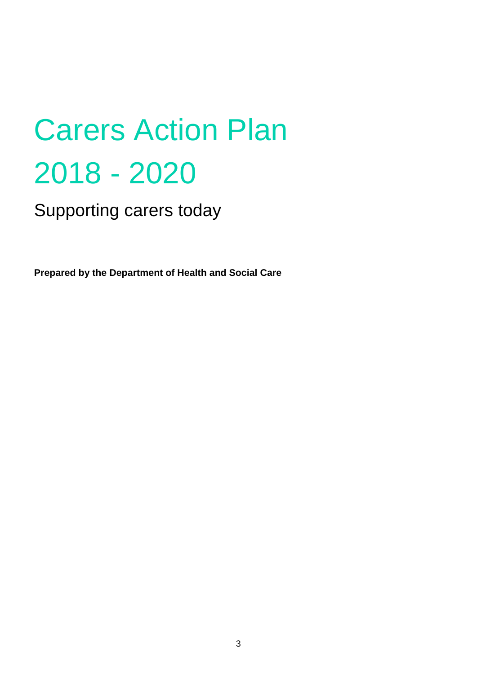# Carers Action Plan 2018 - 2020

Supporting carers today

**Prepared by the Department of Health and Social Care**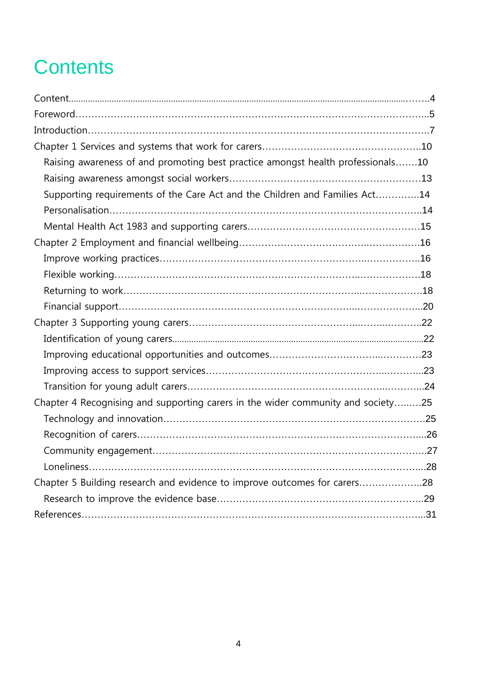# <span id="page-3-0"></span>**Contents**

| Raising awareness of and promoting best practice amongst health professionals10  |  |
|----------------------------------------------------------------------------------|--|
|                                                                                  |  |
| Supporting requirements of the Care Act and the Children and Families Act14      |  |
|                                                                                  |  |
|                                                                                  |  |
|                                                                                  |  |
|                                                                                  |  |
|                                                                                  |  |
|                                                                                  |  |
|                                                                                  |  |
|                                                                                  |  |
|                                                                                  |  |
|                                                                                  |  |
|                                                                                  |  |
|                                                                                  |  |
| Chapter 4 Recognising and supporting carers in the wider community and society25 |  |
|                                                                                  |  |
|                                                                                  |  |
|                                                                                  |  |
|                                                                                  |  |
| Chapter 5 Building research and evidence to improve outcomes for carers28        |  |
|                                                                                  |  |
|                                                                                  |  |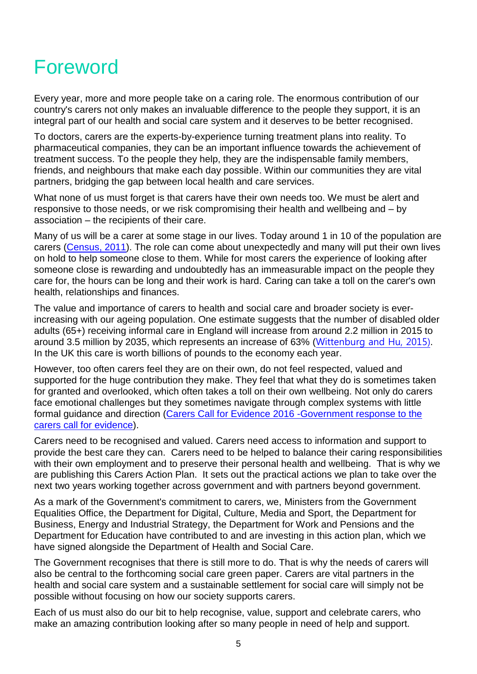# <span id="page-4-0"></span>Foreword

Every year, more and more people take on a caring role. The enormous contribution of our country's carers not only makes an invaluable difference to the people they support, it is an integral part of our health and social care system and it deserves to be better recognised.

To doctors, carers are the experts-by-experience turning treatment plans into reality. To pharmaceutical companies, they can be an important influence towards the achievement of treatment success. To the people they help, they are the indispensable family members, friends, and neighbours that make each day possible. Within our communities they are vital partners, bridging the gap between local health and care services.

What none of us must forget is that carers have their own needs too. We must be alert and responsive to those needs, or we risk compromising their health and wellbeing and – by association – the recipients of their care.

Many of us will be a carer at some stage in our lives. Today around 1 in 10 of the population are carers [\(Census,](https://www.ons.gov.uk/census/2011census/2011censusdata) 2011). The role can come about unexpectedly and many will put their own lives on hold to help someone close to them. While for most carers the experience of looking after someone close is rewarding and undoubtedly has an immeasurable impact on the people they care for, the hours can be long and their work is hard. Caring can take a toll on the carer's own health, relationships and finances.

The value and importance of carers to health and social care and broader society is everincreasing with our ageing population. One estimate suggests that the number of disabled older adults (65+) receiving informal care in England will increase from around 2.2 million in 2015 to around 3.5 million by 2035, which represents an increase of 63% ([Wittenburg and Hu, 2015\)](https://www.pssru.ac.uk/pub/DP2900.pdf). In the UK this care is worth billions of pounds to the economy each year.

However, too often carers feel they are on their own, do not feel respected, valued and supported for the huge contribution they make. They feel that what they do is sometimes taken for granted and overlooked, which often takes a toll on their own wellbeing. Not only do carers face emotional challenges but they sometimes navigate through complex systems with little formal guidance and direction [\(Carers Call for Evidence 2016 -Government response to the](https://www.gov.uk/government/consultations/carers-strategy-call-for-evidence)  [carers call for evidence\)](https://www.gov.uk/government/consultations/carers-strategy-call-for-evidence).

Carers need to be recognised and valued. Carers need access to information and support to provide the best care they can. Carers need to be helped to balance their caring responsibilities with their own employment and to preserve their personal health and wellbeing. That is why we are publishing this Carers Action Plan. It sets out the practical actions we plan to take over the next two years working together across government and with partners beyond government.

As a mark of the Government's commitment to carers, we, Ministers from the Government Equalities Office, the Department for Digital, Culture, Media and Sport, the Department for Business, Energy and Industrial Strategy, the Department for Work and Pensions and the Department for Education have contributed to and are investing in this action plan, which we have signed alongside the Department of Health and Social Care.

The Government recognises that there is still more to do. That is why the needs of carers will also be central to the forthcoming social care green paper. Carers are vital partners in the health and social care system and a sustainable settlement for social care will simply not be possible without focusing on how our society supports carers.

Each of us must also do our bit to help recognise, value, support and celebrate carers, who make an amazing contribution looking after so many people in need of help and support.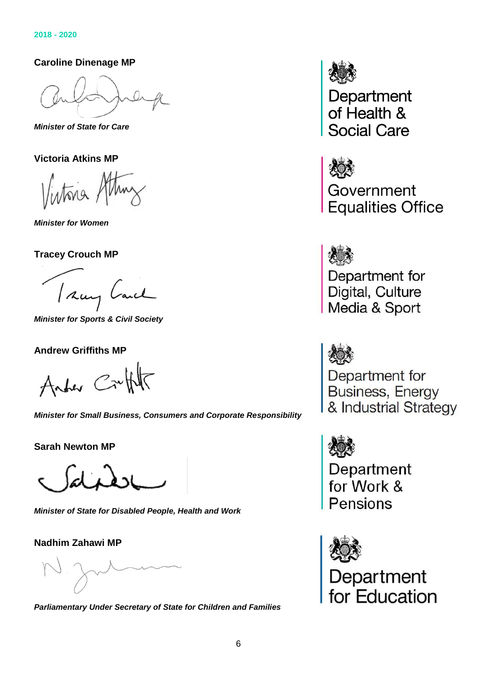**Caroline Dinenage MP**

*Minister of State for Care*

**Victoria Atkins MP**

Vintona

*Minister for Women*

**Tracey Crouch MP**

I say Lanch

*Minister for Sports & Civil Society*

#### **Andrew Griffiths MP**

Anter Crutht

*Minister for Small Business, Consumers and Corporate Responsibility*

**Sarah Newton MP**

*Minister of State for Disabled People, Health and Work*

**Nadhim Zahawi MP**

*Parliamentary Under Secretary of State for Children and Families*



Department<br>of Health & **Social Care** 



Government **Equalities Office** 



Department for<br>Digital, Culture<br>Media & Sport



Department for<br>Business, Energy & Industrial Strategy



Department<br>for Work & Pensions



Department<br>for Education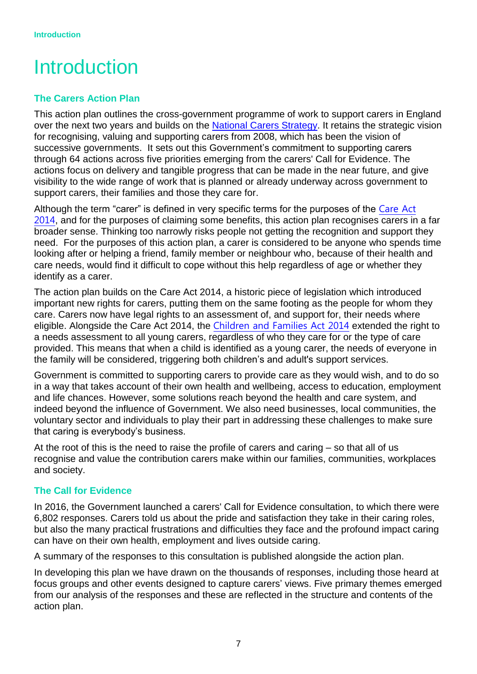# <span id="page-6-0"></span>Introduction

#### **The Carers Action Plan**

This action plan outlines the cross-government programme of work to support carers in England over the next two years and builds on the [National Carers Strategy.](https://www.gov.uk/government/publications/the-national-carers-strategy) It retains the strategic vision for recognising, valuing and supporting carers from 2008, which has been the vision of successive governments. It sets out this Government's commitment to supporting carers through 64 actions across five priorities emerging from the carers' Call for Evidence. The actions focus on delivery and tangible progress that can be made in the near future, and give visibility to the wide range of work that is planned or already underway across government to support carers, their families and those they care for.

Although the term "carer" is defined in very specific terms for the purposes of the [Care Act](http://www.legislation.gov.uk/ukpga/2014/23/contents)  [2014](http://www.legislation.gov.uk/ukpga/2014/23/contents), and for the purposes of claiming some benefits, this action plan recognises carers in a far broader sense. Thinking too narrowly risks people not getting the recognition and support they need. For the purposes of this action plan, a carer is considered to be anyone who spends time looking after or helping a friend, family member or neighbour who, because of their health and care needs, would find it difficult to cope without this help regardless of age or whether they identify as a carer.

The action plan builds on the Care Act 2014, a historic piece of legislation which introduced important new rights for carers, putting them on the same footing as the people for whom they care. Carers now have legal rights to an assessment of, and support for, their needs where eligible. Alongside the Care Act 2014, the [Children and Families Act 2014](http://www.legislation.gov.uk/ukpga/2014/6/contents/enacted) extended the right to a needs assessment to all young carers, regardless of who they care for or the type of care provided. This means that when a child is identified as a young carer, the needs of everyone in the family will be considered, triggering both children's and adult's support services.

Government is committed to supporting carers to provide care as they would wish, and to do so in a way that takes account of their own health and wellbeing, access to education, employment and life chances. However, some solutions reach beyond the health and care system, and indeed beyond the influence of Government. We also need businesses, local communities, the voluntary sector and individuals to play their part in addressing these challenges to make sure that caring is everybody's business.

At the root of this is the need to raise the profile of carers and caring – so that all of us recognise and value the contribution carers make within our families, communities, workplaces and society.

#### **The Call for Evidence**

In 2016, the Government launched a carers' Call for Evidence consultation, to which there were 6,802 responses. Carers told us about the pride and satisfaction they take in their caring roles, but also the many practical frustrations and difficulties they face and the profound impact caring can have on their own health, employment and lives outside caring.

A summary of the responses to this consultation is published alongside the action plan.

In developing this plan we have drawn on the thousands of responses, including those heard at focus groups and other events designed to capture carers' views. Five primary themes emerged from our analysis of the responses and these are reflected in the structure and contents of the action plan.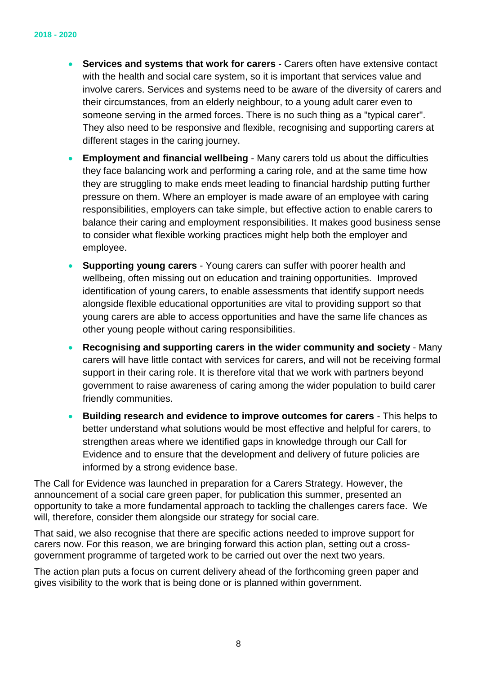- **Services and systems that work for carers** Carers often have extensive contact with the health and social care system, so it is important that services value and involve carers. Services and systems need to be aware of the diversity of carers and their circumstances, from an elderly neighbour, to a young adult carer even to someone serving in the armed forces. There is no such thing as a "typical carer". They also need to be responsive and flexible, recognising and supporting carers at different stages in the caring journey.
- **Employment and financial wellbeing** Many carers told us about the difficulties they face balancing work and performing a caring role, and at the same time how they are struggling to make ends meet leading to financial hardship putting further pressure on them. Where an employer is made aware of an employee with caring responsibilities, employers can take simple, but effective action to enable carers to balance their caring and employment responsibilities. It makes good business sense to consider what flexible working practices might help both the employer and employee.
- **Supporting young carers** Young carers can suffer with poorer health and wellbeing, often missing out on education and training opportunities. Improved identification of young carers, to enable assessments that identify support needs alongside flexible educational opportunities are vital to providing support so that young carers are able to access opportunities and have the same life chances as other young people without caring responsibilities.
- **Recognising and supporting carers in the wider community and society** Many carers will have little contact with services for carers, and will not be receiving formal support in their caring role. It is therefore vital that we work with partners beyond government to raise awareness of caring among the wider population to build carer friendly communities.
- **Building research and evidence to improve outcomes for carers** This helps to better understand what solutions would be most effective and helpful for carers, to strengthen areas where we identified gaps in knowledge through our Call for Evidence and to ensure that the development and delivery of future policies are informed by a strong evidence base.

The Call for Evidence was launched in preparation for a Carers Strategy. However, the announcement of a social care green paper, for publication this summer, presented an opportunity to take a more fundamental approach to tackling the challenges carers face. We will, therefore, consider them alongside our strategy for social care.

That said, we also recognise that there are specific actions needed to improve support for carers now. For this reason, we are bringing forward this action plan, setting out a crossgovernment programme of targeted work to be carried out over the next two years.

The action plan puts a focus on current delivery ahead of the forthcoming green paper and gives visibility to the work that is being done or is planned within government.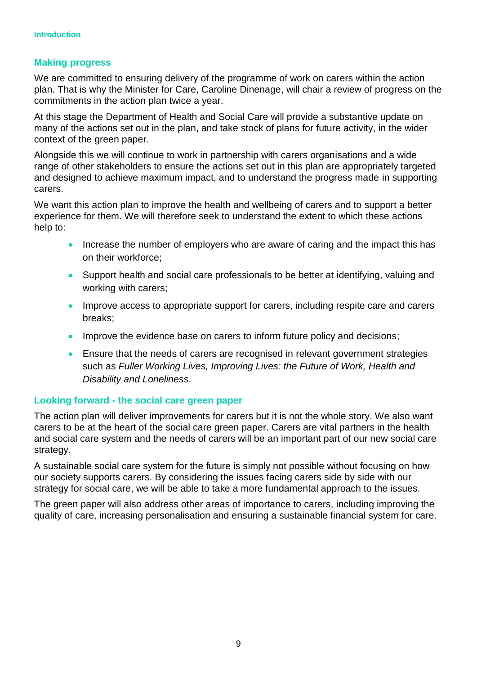#### **Making progress**

We are committed to ensuring delivery of the programme of work on carers within the action plan. That is why the Minister for Care, Caroline Dinenage, will chair a review of progress on the commitments in the action plan twice a year.

At this stage the Department of Health and Social Care will provide a substantive update on many of the actions set out in the plan, and take stock of plans for future activity, in the wider context of the green paper.

Alongside this we will continue to work in partnership with carers organisations and a wide range of other stakeholders to ensure the actions set out in this plan are appropriately targeted and designed to achieve maximum impact, and to understand the progress made in supporting carers.

We want this action plan to improve the health and wellbeing of carers and to support a better experience for them. We will therefore seek to understand the extent to which these actions help to:

- Increase the number of employers who are aware of caring and the impact this has on their workforce;
- Support health and social care professionals to be better at identifying, valuing and working with carers;
- Improve access to appropriate support for carers, including respite care and carers breaks;
- Improve the evidence base on carers to inform future policy and decisions;
- Ensure that the needs of carers are recognised in relevant government strategies such as *Fuller Working Lives, Improving Lives: the Future of Work, Health and Disability and Loneliness*.

#### **Looking forward - the social care green paper**

The action plan will deliver improvements for carers but it is not the whole story. We also want carers to be at the heart of the social care green paper. Carers are vital partners in the health and social care system and the needs of carers will be an important part of our new social care strategy.

A sustainable social care system for the future is simply not possible without focusing on how our society supports carers. By considering the issues facing carers side by side with our strategy for social care, we will be able to take a more fundamental approach to the issues.

The green paper will also address other areas of importance to carers, including improving the quality of care, increasing personalisation and ensuring a sustainable financial system for care.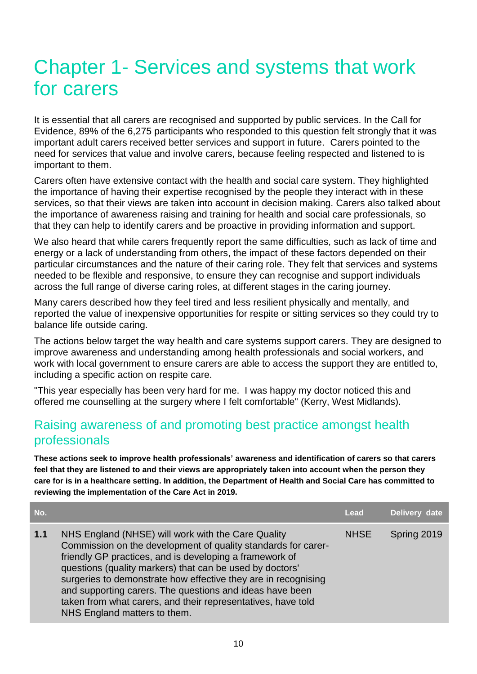# <span id="page-9-0"></span>Chapter 1- Services and systems that work for carers

It is essential that all carers are recognised and supported by public services. In the Call for Evidence, 89% of the 6,275 participants who responded to this question felt strongly that it was important adult carers received better services and support in future. Carers pointed to the need for services that value and involve carers, because feeling respected and listened to is important to them.

Carers often have extensive contact with the health and social care system. They highlighted the importance of having their expertise recognised by the people they interact with in these services, so that their views are taken into account in decision making. Carers also talked about the importance of awareness raising and training for health and social care professionals, so that they can help to identify carers and be proactive in providing information and support.

We also heard that while carers frequently report the same difficulties, such as lack of time and energy or a lack of understanding from others, the impact of these factors depended on their particular circumstances and the nature of their caring role. They felt that services and systems needed to be flexible and responsive, to ensure they can recognise and support individuals across the full range of diverse caring roles, at different stages in the caring journey.

Many carers described how they feel tired and less resilient physically and mentally, and reported the value of inexpensive opportunities for respite or sitting services so they could try to balance life outside caring.

The actions below target the way health and care systems support carers. They are designed to improve awareness and understanding among health professionals and social workers, and work with local government to ensure carers are able to access the support they are entitled to, including a specific action on respite care.

"This year especially has been very hard for me. I was happy my doctor noticed this and offered me counselling at the surgery where I felt comfortable" (Kerry, West Midlands).

## <span id="page-9-1"></span>Raising awareness of and promoting best practice amongst health professionals

**These actions seek to improve health professionals' awareness and identification of carers so that carers feel that they are listened to and their views are appropriately taken into account when the person they care for is in a healthcare setting. In addition, the Department of Health and Social Care has committed to reviewing the implementation of the Care Act in 2019.**

| No. |                                                                                                                                                                                                                                                                                                                                                                                                                                                                          | Lead        | Delivery date |
|-----|--------------------------------------------------------------------------------------------------------------------------------------------------------------------------------------------------------------------------------------------------------------------------------------------------------------------------------------------------------------------------------------------------------------------------------------------------------------------------|-------------|---------------|
| 1.1 | NHS England (NHSE) will work with the Care Quality<br>Commission on the development of quality standards for carer-<br>friendly GP practices, and is developing a framework of<br>questions (quality markers) that can be used by doctors'<br>surgeries to demonstrate how effective they are in recognising<br>and supporting carers. The questions and ideas have been<br>taken from what carers, and their representatives, have told<br>NHS England matters to them. | <b>NHSE</b> | Spring 2019   |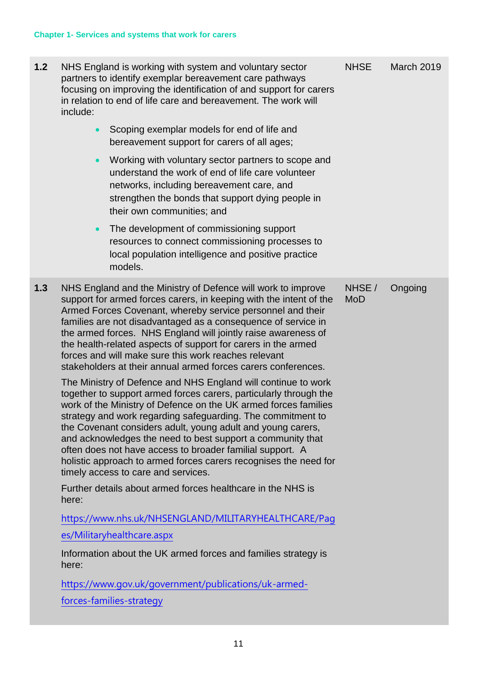| 1.2 | include:  | NHS England is working with system and voluntary sector<br>partners to identify exemplar bereavement care pathways<br>focusing on improving the identification of and support for carers<br>in relation to end of life care and bereavement. The work will                                                                                                                                                                                                                                                                                                                                                                                                                                                                                                                                                                                                                                                                                                                                                                                                                                                                                                                                                                                                                                                                       | <b>NHSE</b>          | <b>March 2019</b> |
|-----|-----------|----------------------------------------------------------------------------------------------------------------------------------------------------------------------------------------------------------------------------------------------------------------------------------------------------------------------------------------------------------------------------------------------------------------------------------------------------------------------------------------------------------------------------------------------------------------------------------------------------------------------------------------------------------------------------------------------------------------------------------------------------------------------------------------------------------------------------------------------------------------------------------------------------------------------------------------------------------------------------------------------------------------------------------------------------------------------------------------------------------------------------------------------------------------------------------------------------------------------------------------------------------------------------------------------------------------------------------|----------------------|-------------------|
|     | $\bullet$ | Scoping exemplar models for end of life and<br>bereavement support for carers of all ages;                                                                                                                                                                                                                                                                                                                                                                                                                                                                                                                                                                                                                                                                                                                                                                                                                                                                                                                                                                                                                                                                                                                                                                                                                                       |                      |                   |
|     | $\bullet$ | Working with voluntary sector partners to scope and<br>understand the work of end of life care volunteer<br>networks, including bereavement care, and<br>strengthen the bonds that support dying people in<br>their own communities; and                                                                                                                                                                                                                                                                                                                                                                                                                                                                                                                                                                                                                                                                                                                                                                                                                                                                                                                                                                                                                                                                                         |                      |                   |
|     | $\bullet$ | The development of commissioning support<br>resources to connect commissioning processes to<br>local population intelligence and positive practice<br>models.                                                                                                                                                                                                                                                                                                                                                                                                                                                                                                                                                                                                                                                                                                                                                                                                                                                                                                                                                                                                                                                                                                                                                                    |                      |                   |
| 1.3 | here:     | NHS England and the Ministry of Defence will work to improve<br>support for armed forces carers, in keeping with the intent of the<br>Armed Forces Covenant, whereby service personnel and their<br>families are not disadvantaged as a consequence of service in<br>the armed forces. NHS England will jointly raise awareness of<br>the health-related aspects of support for carers in the armed<br>forces and will make sure this work reaches relevant<br>stakeholders at their annual armed forces carers conferences.<br>The Ministry of Defence and NHS England will continue to work<br>together to support armed forces carers, particularly through the<br>work of the Ministry of Defence on the UK armed forces families<br>strategy and work regarding safeguarding. The commitment to<br>the Covenant considers adult, young adult and young carers,<br>and acknowledges the need to best support a community that<br>often does not have access to broader familial support. A<br>holistic approach to armed forces carers recognises the need for<br>timely access to care and services.<br>Further details about armed forces healthcare in the NHS is<br>https://www.nhs.uk/NHSENGLAND/MILITARYHEALTHCARE/Pag<br>es/Militaryhealthcare.aspx<br>Information about the UK armed forces and families strategy is | NHSE /<br><b>MoD</b> | Ongoing           |
|     | here:     | https://www.gov.uk/government/publications/uk-armed-                                                                                                                                                                                                                                                                                                                                                                                                                                                                                                                                                                                                                                                                                                                                                                                                                                                                                                                                                                                                                                                                                                                                                                                                                                                                             |                      |                   |
|     |           | forces-families-strategy                                                                                                                                                                                                                                                                                                                                                                                                                                                                                                                                                                                                                                                                                                                                                                                                                                                                                                                                                                                                                                                                                                                                                                                                                                                                                                         |                      |                   |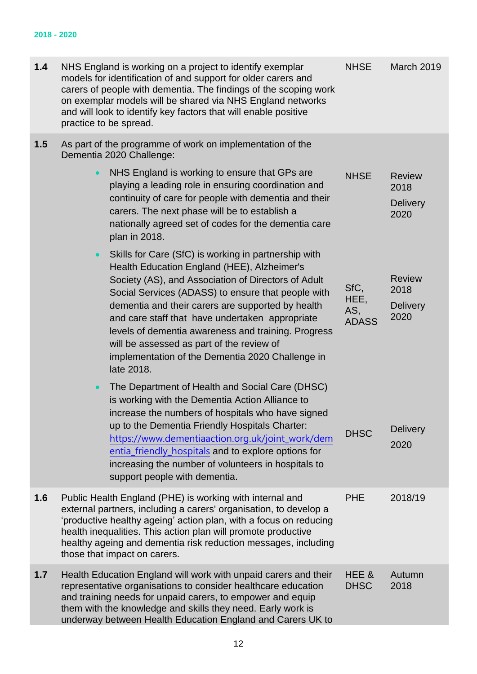| 1.4 | NHS England is working on a project to identify exemplar<br>models for identification of and support for older carers and<br>carers of people with dementia. The findings of the scoping work<br>on exemplar models will be shared via NHS England networks<br>and will look to identify key factors that will enable positive<br>practice to be spread.                                                                                                                                                    | <b>NHSE</b>                         | March 2019                                       |
|-----|-------------------------------------------------------------------------------------------------------------------------------------------------------------------------------------------------------------------------------------------------------------------------------------------------------------------------------------------------------------------------------------------------------------------------------------------------------------------------------------------------------------|-------------------------------------|--------------------------------------------------|
| 1.5 | As part of the programme of work on implementation of the<br>Dementia 2020 Challenge:                                                                                                                                                                                                                                                                                                                                                                                                                       |                                     |                                                  |
|     | NHS England is working to ensure that GPs are<br>$\bullet$<br>playing a leading role in ensuring coordination and<br>continuity of care for people with dementia and their<br>carers. The next phase will be to establish a<br>nationally agreed set of codes for the dementia care<br>plan in 2018.                                                                                                                                                                                                        | <b>NHSE</b>                         | <b>Review</b><br>2018<br><b>Delivery</b><br>2020 |
|     | Skills for Care (SfC) is working in partnership with<br>$\bullet$<br>Health Education England (HEE), Alzheimer's<br>Society (AS), and Association of Directors of Adult<br>Social Services (ADASS) to ensure that people with<br>dementia and their carers are supported by health<br>and care staff that have undertaken appropriate<br>levels of dementia awareness and training. Progress<br>will be assessed as part of the review of<br>implementation of the Dementia 2020 Challenge in<br>late 2018. | SfC,<br>HEE,<br>AS,<br><b>ADASS</b> | <b>Review</b><br>2018<br><b>Delivery</b><br>2020 |
|     | The Department of Health and Social Care (DHSC)<br>$\bullet$<br>is working with the Dementia Action Alliance to<br>increase the numbers of hospitals who have signed<br>up to the Dementia Friendly Hospitals Charter:<br>https://www.dementiaaction.org.uk/joint_work/dem<br>entia_friendly_hospitals and to explore options for<br>increasing the number of volunteers in hospitals to<br>support people with dementia.                                                                                   | <b>DHSC</b>                         | <b>Delivery</b><br>2020                          |
| 1.6 | Public Health England (PHE) is working with internal and<br>external partners, including a carers' organisation, to develop a<br>'productive healthy ageing' action plan, with a focus on reducing<br>health inequalities. This action plan will promote productive<br>healthy ageing and dementia risk reduction messages, including<br>those that impact on carers.                                                                                                                                       | <b>PHE</b>                          | 2018/19                                          |
| 1.7 | Health Education England will work with unpaid carers and their<br>representative organisations to consider healthcare education<br>and training needs for unpaid carers, to empower and equip<br>them with the knowledge and skills they need. Early work is<br>underway between Health Education England and Carers UK to                                                                                                                                                                                 | HEE&<br><b>DHSC</b>                 | Autumn<br>2018                                   |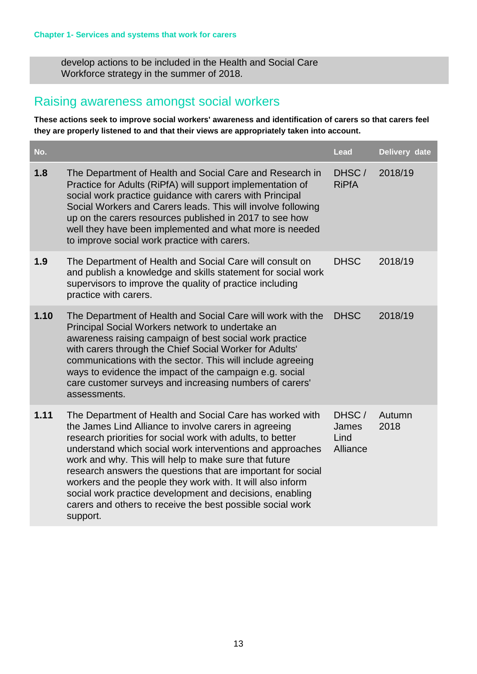develop actions to be included in the Health and Social Care Workforce strategy in the summer of 2018.

#### <span id="page-12-0"></span>Raising awareness amongst social workers

**These actions seek to improve social workers' awareness and identification of carers so that carers feel they are properly listened to and that their views are appropriately taken into account.**

<span id="page-12-1"></span>

| No.  |                                                                                                                                                                                                                                                                                                                                                                                                                                                                                                                                                                           | Lead                               | Delivery date  |
|------|---------------------------------------------------------------------------------------------------------------------------------------------------------------------------------------------------------------------------------------------------------------------------------------------------------------------------------------------------------------------------------------------------------------------------------------------------------------------------------------------------------------------------------------------------------------------------|------------------------------------|----------------|
| 1.8  | The Department of Health and Social Care and Research in<br>Practice for Adults (RiPfA) will support implementation of<br>social work practice guidance with carers with Principal<br>Social Workers and Carers leads. This will involve following<br>up on the carers resources published in 2017 to see how<br>well they have been implemented and what more is needed<br>to improve social work practice with carers.                                                                                                                                                  | DHSC/<br><b>RiPfA</b>              | 2018/19        |
| 1.9  | The Department of Health and Social Care will consult on<br>and publish a knowledge and skills statement for social work<br>supervisors to improve the quality of practice including<br>practice with carers.                                                                                                                                                                                                                                                                                                                                                             | <b>DHSC</b>                        | 2018/19        |
| 1.10 | The Department of Health and Social Care will work with the<br>Principal Social Workers network to undertake an<br>awareness raising campaign of best social work practice<br>with carers through the Chief Social Worker for Adults'<br>communications with the sector. This will include agreeing<br>ways to evidence the impact of the campaign e.g. social<br>care customer surveys and increasing numbers of carers'<br>assessments.                                                                                                                                 | <b>DHSC</b>                        | 2018/19        |
| 1.11 | The Department of Health and Social Care has worked with<br>the James Lind Alliance to involve carers in agreeing<br>research priorities for social work with adults, to better<br>understand which social work interventions and approaches<br>work and why. This will help to make sure that future<br>research answers the questions that are important for social<br>workers and the people they work with. It will also inform<br>social work practice development and decisions, enabling<br>carers and others to receive the best possible social work<br>support. | DHSC/<br>James<br>Lind<br>Alliance | Autumn<br>2018 |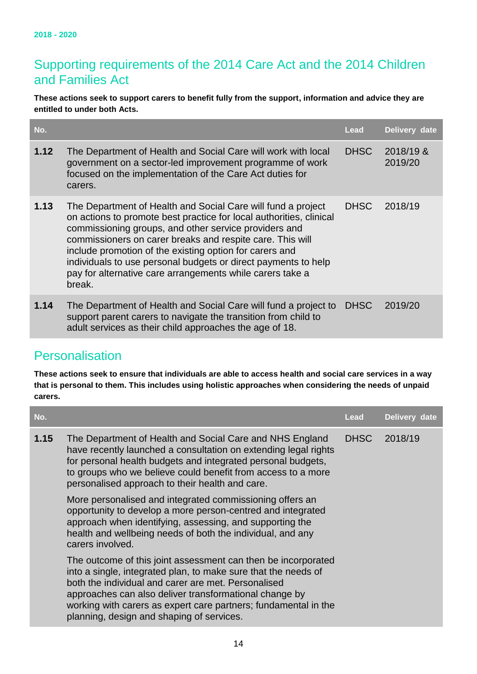### Supporting requirements of the 2014 Care Act and the 2014 Children and Families Act

**These actions seek to support carers to benefit fully from the support, information and advice they are entitled to under both Acts.**

| No.  |                                                                                                                                                                                                                                                                                                                                                                                                                                                               | <b>Lead</b> | Delivery date        |
|------|---------------------------------------------------------------------------------------------------------------------------------------------------------------------------------------------------------------------------------------------------------------------------------------------------------------------------------------------------------------------------------------------------------------------------------------------------------------|-------------|----------------------|
| 1.12 | The Department of Health and Social Care will work with local<br>government on a sector-led improvement programme of work<br>focused on the implementation of the Care Act duties for<br>carers.                                                                                                                                                                                                                                                              | <b>DHSC</b> | 2018/19 &<br>2019/20 |
| 1.13 | The Department of Health and Social Care will fund a project<br>on actions to promote best practice for local authorities, clinical<br>commissioning groups, and other service providers and<br>commissioners on carer breaks and respite care. This will<br>include promotion of the existing option for carers and<br>individuals to use personal budgets or direct payments to help<br>pay for alternative care arrangements while carers take a<br>break. | <b>DHSC</b> | 2018/19              |
| 1.14 | The Department of Health and Social Care will fund a project to<br>support parent carers to navigate the transition from child to<br>adult services as their child approaches the age of 18.                                                                                                                                                                                                                                                                  | <b>DHSC</b> | 2019/20              |

# <span id="page-13-0"></span>**Personalisation**

**These actions seek to ensure that individuals are able to access health and social care services in a way that is personal to them. This includes using holistic approaches when considering the needs of unpaid carers.**

| No.  |                                                                                                                                                                                                                                                                                                                                                                  | Lead        | Delivery date |
|------|------------------------------------------------------------------------------------------------------------------------------------------------------------------------------------------------------------------------------------------------------------------------------------------------------------------------------------------------------------------|-------------|---------------|
| 1.15 | The Department of Health and Social Care and NHS England<br>have recently launched a consultation on extending legal rights<br>for personal health budgets and integrated personal budgets,<br>to groups who we believe could benefit from access to a more<br>personalised approach to their health and care.                                                   | <b>DHSC</b> | 2018/19       |
|      | More personalised and integrated commissioning offers an<br>opportunity to develop a more person-centred and integrated<br>approach when identifying, assessing, and supporting the<br>health and wellbeing needs of both the individual, and any<br>carers involved.                                                                                            |             |               |
|      | The outcome of this joint assessment can then be incorporated<br>into a single, integrated plan, to make sure that the needs of<br>both the individual and carer are met. Personalised<br>approaches can also deliver transformational change by<br>working with carers as expert care partners; fundamental in the<br>planning, design and shaping of services. |             |               |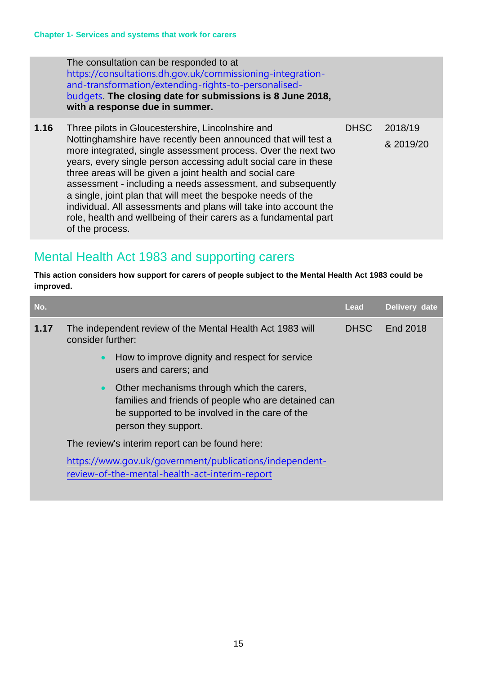The consultation can be responded to at [https://consultations.dh.gov.uk/commissioning-integration](https://consultations.dh.gov.uk/commissioning-integration-and-transformation/extending-rights-to-personalised-budgets)[and-transformation/extending-rights-to-personalised](https://consultations.dh.gov.uk/commissioning-integration-and-transformation/extending-rights-to-personalised-budgets)[budgets](https://consultations.dh.gov.uk/commissioning-integration-and-transformation/extending-rights-to-personalised-budgets). **The closing date for submissions is 8 June 2018, with a response due in summer.**

**1.16** Three pilots in Gloucestershire, Lincolnshire and Nottinghamshire have recently been announced that will test a more integrated, single assessment process. Over the next two years, every single person accessing adult social care in these three areas will be given a joint health and social care assessment - including a needs assessment, and subsequently a single, joint plan that will meet the bespoke needs of the individual. All assessments and plans will take into account the role, health and wellbeing of their carers as a fundamental part of the process. DHSC 2018/19 & 2019/20

## <span id="page-14-0"></span>Mental Health Act 1983 and supporting carers

**This action considers how support for carers of people subject to the Mental Health Act 1983 could be improved.**

| No.  |                                                                                                                                                                                          | Lead        | Delivery date |
|------|------------------------------------------------------------------------------------------------------------------------------------------------------------------------------------------|-------------|---------------|
| 1.17 | The independent review of the Mental Health Act 1983 will<br>consider further:                                                                                                           | <b>DHSC</b> | End 2018      |
|      | How to improve dignity and respect for service<br>$\bullet$<br>users and carers; and                                                                                                     |             |               |
|      | Other mechanisms through which the carers,<br>$\bullet$<br>families and friends of people who are detained can<br>be supported to be involved in the care of the<br>person they support. |             |               |
|      | The review's interim report can be found here:                                                                                                                                           |             |               |
|      | https://www.gov.uk/government/publications/independent-<br>review-of-the-mental-health-act-interim-report                                                                                |             |               |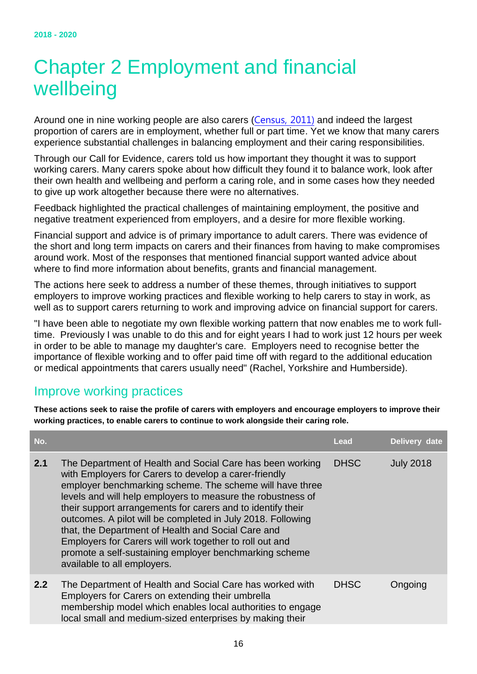# <span id="page-15-0"></span>Chapter 2 Employment and financial wellbeing

Around one in nine working people are also carers ([Census, 2011\)](http://www.carersuk.org/for-professionals/policy/policy-library?task=download&file=policy_file&id=4762) and indeed the largest proportion of carers are in employment, whether full or part time. Yet we know that many carers experience substantial challenges in balancing employment and their caring responsibilities.

Through our Call for Evidence, carers told us how important they thought it was to support working carers. Many carers spoke about how difficult they found it to balance work, look after their own health and wellbeing and perform a caring role, and in some cases how they needed to give up work altogether because there were no alternatives.

Feedback highlighted the practical challenges of maintaining employment, the positive and negative treatment experienced from employers, and a desire for more flexible working.

Financial support and advice is of primary importance to adult carers. There was evidence of the short and long term impacts on carers and their finances from having to make compromises around work. Most of the responses that mentioned financial support wanted advice about where to find more information about benefits, grants and financial management.

The actions here seek to address a number of these themes, through initiatives to support employers to improve working practices and flexible working to help carers to stay in work, as well as to support carers returning to work and improving advice on financial support for carers.

"I have been able to negotiate my own flexible working pattern that now enables me to work fulltime. Previously I was unable to do this and for eight years I had to work just 12 hours per week in order to be able to manage my daughter's care. Employers need to recognise better the importance of flexible working and to offer paid time off with regard to the additional education or medical appointments that carers usually need" (Rachel, Yorkshire and Humberside).

## <span id="page-15-1"></span>Improve working practices

**These actions seek to raise the profile of carers with employers and encourage employers to improve their working practices, to enable carers to continue to work alongside their caring role.**

| No. |                                                                                                                                                                                                                                                                                                                                                                                                                                                                                                                                                                                       | Lead        | Delivery date    |
|-----|---------------------------------------------------------------------------------------------------------------------------------------------------------------------------------------------------------------------------------------------------------------------------------------------------------------------------------------------------------------------------------------------------------------------------------------------------------------------------------------------------------------------------------------------------------------------------------------|-------------|------------------|
| 2.1 | The Department of Health and Social Care has been working<br>with Employers for Carers to develop a carer-friendly<br>employer benchmarking scheme. The scheme will have three<br>levels and will help employers to measure the robustness of<br>their support arrangements for carers and to identify their<br>outcomes. A pilot will be completed in July 2018. Following<br>that, the Department of Health and Social Care and<br>Employers for Carers will work together to roll out and<br>promote a self-sustaining employer benchmarking scheme<br>available to all employers. | <b>DHSC</b> | <b>July 2018</b> |
| 2.2 | The Department of Health and Social Care has worked with<br>Employers for Carers on extending their umbrella<br>membership model which enables local authorities to engage<br>local small and medium-sized enterprises by making their                                                                                                                                                                                                                                                                                                                                                | <b>DHSC</b> | Ongoing          |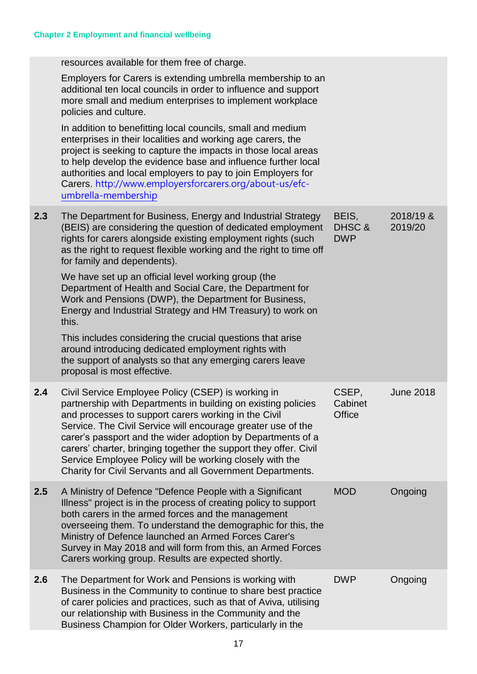|     | resources available for them free of charge.                                                                                                                                                                                                                                                                                                                                                                                                                                                             |                               |                      |
|-----|----------------------------------------------------------------------------------------------------------------------------------------------------------------------------------------------------------------------------------------------------------------------------------------------------------------------------------------------------------------------------------------------------------------------------------------------------------------------------------------------------------|-------------------------------|----------------------|
|     | Employers for Carers is extending umbrella membership to an<br>additional ten local councils in order to influence and support<br>more small and medium enterprises to implement workplace<br>policies and culture.                                                                                                                                                                                                                                                                                      |                               |                      |
|     | In addition to benefitting local councils, small and medium<br>enterprises in their localities and working age carers, the<br>project is seeking to capture the impacts in those local areas<br>to help develop the evidence base and influence further local<br>authorities and local employers to pay to join Employers for<br>Carers. http://www.employersforcarers.org/about-us/efc-<br>umbrella-membership                                                                                          |                               |                      |
| 2.3 | The Department for Business, Energy and Industrial Strategy<br>(BEIS) are considering the question of dedicated employment<br>rights for carers alongside existing employment rights (such<br>as the right to request flexible working and the right to time off<br>for family and dependents).                                                                                                                                                                                                          | BEIS,<br>DHSC &<br><b>DWP</b> | 2018/19 &<br>2019/20 |
|     | We have set up an official level working group (the<br>Department of Health and Social Care, the Department for<br>Work and Pensions (DWP), the Department for Business,<br>Energy and Industrial Strategy and HM Treasury) to work on<br>this.                                                                                                                                                                                                                                                          |                               |                      |
|     | This includes considering the crucial questions that arise<br>around introducing dedicated employment rights with<br>the support of analysts so that any emerging carers leave<br>proposal is most effective.                                                                                                                                                                                                                                                                                            |                               |                      |
| 2.4 | Civil Service Employee Policy (CSEP) is working in<br>partnership with Departments in building on existing policies<br>and processes to support carers working in the Civil<br>Service. The Civil Service will encourage greater use of the<br>carer's passport and the wider adoption by Departments of a<br>carers' charter, bringing together the support they offer. Civil<br>Service Employee Policy will be working closely with the<br>Charity for Civil Servants and all Government Departments. | CSEP,<br>Cabinet<br>Office    | <b>June 2018</b>     |
| 2.5 | A Ministry of Defence "Defence People with a Significant<br>Illness" project is in the process of creating policy to support<br>both carers in the armed forces and the management<br>overseeing them. To understand the demographic for this, the<br>Ministry of Defence launched an Armed Forces Carer's<br>Survey in May 2018 and will form from this, an Armed Forces<br>Carers working group. Results are expected shortly.                                                                         | <b>MOD</b>                    | Ongoing              |
| 2.6 | The Department for Work and Pensions is working with<br>Business in the Community to continue to share best practice<br>of carer policies and practices, such as that of Aviva, utilising<br>our relationship with Business in the Community and the<br>Business Champion for Older Workers, particularly in the                                                                                                                                                                                         | <b>DWP</b>                    | Ongoing              |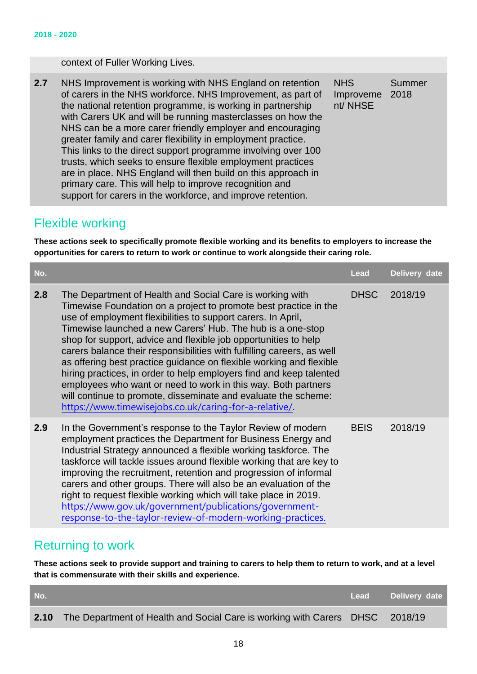#### context of Fuller Working Lives.

**2.7** NHS Improvement is working with NHS England on retention of carers in the NHS workforce. NHS Improvement, as part of the national retention programme, is working in partnership with Carers UK and will be running masterclasses on how the NHS can be a more carer friendly employer and encouraging greater family and carer flexibility in employment practice. This links to the direct support programme involving over 100 trusts, which seeks to ensure flexible employment practices are in place. NHS England will then build on this approach in primary care. This will help to improve recognition and support for carers in the workforce, and improve retention. **NHS** Improveme 2018 nt/ NHSE Summer

#### <span id="page-17-0"></span>Flexible working

**These actions seek to specifically promote flexible working and its benefits to employers to increase the opportunities for carers to return to work or continue to work alongside their caring role.**

| No. |                                                                                                                                                                                                                                                                                                                                                                                                                                                                                                                                                                                                                                                                                                                                                   | Lead        | Delivery date |
|-----|---------------------------------------------------------------------------------------------------------------------------------------------------------------------------------------------------------------------------------------------------------------------------------------------------------------------------------------------------------------------------------------------------------------------------------------------------------------------------------------------------------------------------------------------------------------------------------------------------------------------------------------------------------------------------------------------------------------------------------------------------|-------------|---------------|
| 2.8 | The Department of Health and Social Care is working with<br>Timewise Foundation on a project to promote best practice in the<br>use of employment flexibilities to support carers. In April,<br>Timewise launched a new Carers' Hub. The hub is a one-stop<br>shop for support, advice and flexible job opportunities to help<br>carers balance their responsibilities with fulfilling careers, as well<br>as offering best practice guidance on flexible working and flexible<br>hiring practices, in order to help employers find and keep talented<br>employees who want or need to work in this way. Both partners<br>will continue to promote, disseminate and evaluate the scheme:<br>https://www.timewisejobs.co.uk/caring-for-a-relative/ | <b>DHSC</b> | 2018/19       |
| 2.9 | In the Government's response to the Taylor Review of modern<br>employment practices the Department for Business Energy and<br>Industrial Strategy announced a flexible working taskforce. The<br>taskforce will tackle issues around flexible working that are key to<br>improving the recruitment, retention and progression of informal<br>carers and other groups. There will also be an evaluation of the<br>right to request flexible working which will take place in 2019.<br>https://www.gov.uk/government/publications/government-<br>response-to-the-taylor-review-of-modern-working-practices.                                                                                                                                         | <b>BEIS</b> | 2018/19       |

#### <span id="page-17-1"></span>Returning to work

**These actions seek to provide support and training to carers to help them to return to work, and at a level that is commensurate with their skills and experience.** 

| No. |                                                                                   | Lead Delivery date |
|-----|-----------------------------------------------------------------------------------|--------------------|
|     | 2.10 The Department of Health and Social Care is working with Carers DHSC 2018/19 |                    |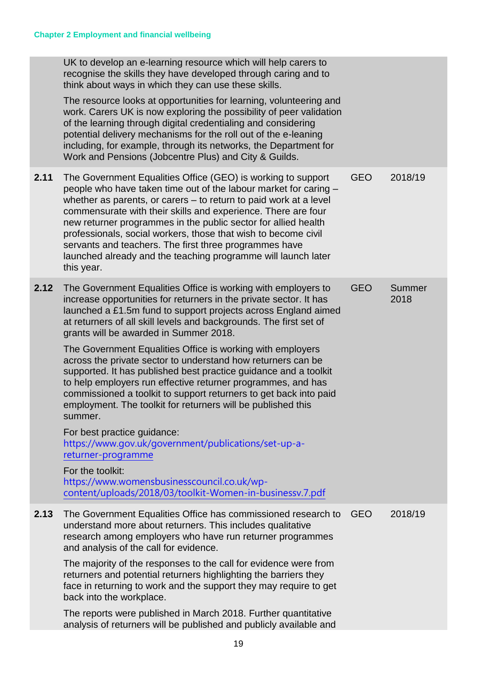|      | UK to develop an e-learning resource which will help carers to<br>recognise the skills they have developed through caring and to<br>think about ways in which they can use these skills.<br>The resource looks at opportunities for learning, volunteering and<br>work. Carers UK is now exploring the possibility of peer validation<br>of the learning through digital credentialing and considering<br>potential delivery mechanisms for the roll out of the e-leaning<br>including, for example, through its networks, the Department for<br>Work and Pensions (Jobcentre Plus) and City & Guilds.                                                                                                                                                                                                                                                                                                                                                                              |            |                |
|------|-------------------------------------------------------------------------------------------------------------------------------------------------------------------------------------------------------------------------------------------------------------------------------------------------------------------------------------------------------------------------------------------------------------------------------------------------------------------------------------------------------------------------------------------------------------------------------------------------------------------------------------------------------------------------------------------------------------------------------------------------------------------------------------------------------------------------------------------------------------------------------------------------------------------------------------------------------------------------------------|------------|----------------|
| 2.11 | The Government Equalities Office (GEO) is working to support<br>people who have taken time out of the labour market for caring -<br>whether as parents, or carers - to return to paid work at a level<br>commensurate with their skills and experience. There are four<br>new returner programmes in the public sector for allied health<br>professionals, social workers, those that wish to become civil<br>servants and teachers. The first three programmes have<br>launched already and the teaching programme will launch later<br>this year.                                                                                                                                                                                                                                                                                                                                                                                                                                 | <b>GEO</b> | 2018/19        |
| 2.12 | The Government Equalities Office is working with employers to<br>increase opportunities for returners in the private sector. It has<br>launched a £1.5m fund to support projects across England aimed<br>at returners of all skill levels and backgrounds. The first set of<br>grants will be awarded in Summer 2018.<br>The Government Equalities Office is working with employers<br>across the private sector to understand how returners can be<br>supported. It has published best practice guidance and a toolkit<br>to help employers run effective returner programmes, and has<br>commissioned a toolkit to support returners to get back into paid<br>employment. The toolkit for returners will be published this<br>summer.<br>For best practice guidance:<br>https://www.gov.uk/government/publications/set-up-a-<br>returner-programme<br>For the toolkit:<br>https://www.womensbusinesscouncil.co.uk/wp-<br>content/uploads/2018/03/toolkit-Women-in-businessv.7.pdf | <b>GEO</b> | Summer<br>2018 |
| 2.13 | The Government Equalities Office has commissioned research to<br>understand more about returners. This includes qualitative<br>research among employers who have run returner programmes<br>and analysis of the call for evidence.<br>The majority of the responses to the call for evidence were from<br>returners and potential returners highlighting the barriers they<br>face in returning to work and the support they may require to get<br>back into the workplace.<br>The reports were published in March 2018. Further quantitative<br>analysis of returners will be published and publicly available and                                                                                                                                                                                                                                                                                                                                                                 | <b>GEO</b> | 2018/19        |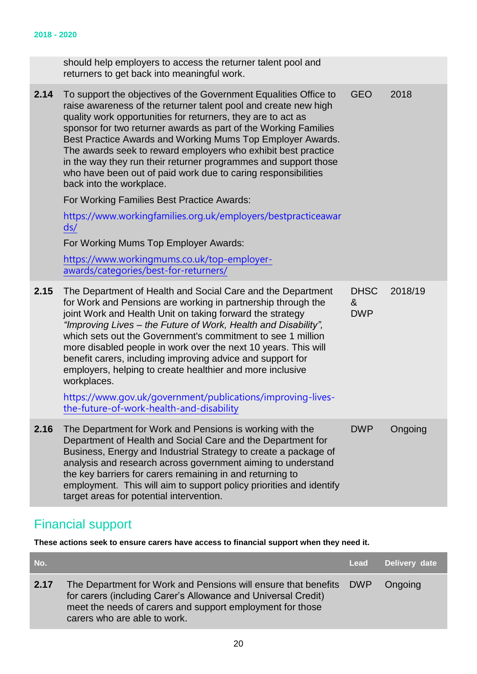|      | should help employers to access the returner talent pool and<br>returners to get back into meaningful work.                                                                                                                                                                                                                                                                                                                                                                                                                                                                                                                                      |                                |         |
|------|--------------------------------------------------------------------------------------------------------------------------------------------------------------------------------------------------------------------------------------------------------------------------------------------------------------------------------------------------------------------------------------------------------------------------------------------------------------------------------------------------------------------------------------------------------------------------------------------------------------------------------------------------|--------------------------------|---------|
| 2.14 | To support the objectives of the Government Equalities Office to<br>raise awareness of the returner talent pool and create new high<br>quality work opportunities for returners, they are to act as<br>sponsor for two returner awards as part of the Working Families<br>Best Practice Awards and Working Mums Top Employer Awards.<br>The awards seek to reward employers who exhibit best practice<br>in the way they run their returner programmes and support those<br>who have been out of paid work due to caring responsibilities<br>back into the workplace.                                                                            | <b>GEO</b>                     | 2018    |
|      | For Working Families Best Practice Awards:                                                                                                                                                                                                                                                                                                                                                                                                                                                                                                                                                                                                       |                                |         |
|      | https://www.workingfamilies.org.uk/employers/bestpracticeawar<br>ds/                                                                                                                                                                                                                                                                                                                                                                                                                                                                                                                                                                             |                                |         |
|      | For Working Mums Top Employer Awards:                                                                                                                                                                                                                                                                                                                                                                                                                                                                                                                                                                                                            |                                |         |
|      | https://www.workingmums.co.uk/top-employer-<br>awards/categories/best-for-returners/                                                                                                                                                                                                                                                                                                                                                                                                                                                                                                                                                             |                                |         |
| 2.15 | The Department of Health and Social Care and the Department<br>for Work and Pensions are working in partnership through the<br>joint Work and Health Unit on taking forward the strategy<br>"Improving Lives – the Future of Work, Health and Disability",<br>which sets out the Government's commitment to see 1 million<br>more disabled people in work over the next 10 years. This will<br>benefit carers, including improving advice and support for<br>employers, helping to create healthier and more inclusive<br>workplaces.<br>https://www.gov.uk/government/publications/improving-lives-<br>the-future-of-work-health-and-disability | <b>DHSC</b><br>&<br><b>DWP</b> | 2018/19 |
| 2.16 | The Department for Work and Pensions is working with the<br>Department of Health and Social Care and the Department for<br>Business, Energy and Industrial Strategy to create a package of<br>analysis and research across government aiming to understand<br>the key barriers for carers remaining in and returning to<br>employment. This will aim to support policy priorities and identify<br>target areas for potential intervention.                                                                                                                                                                                                       | <b>DWP</b>                     | Ongoing |

# <span id="page-19-0"></span>Financial support

**These actions seek to ensure carers have access to financial support when they need it.**

| No.  |                                                                                                                                                                                                                                  | Lead | Delivery date |
|------|----------------------------------------------------------------------------------------------------------------------------------------------------------------------------------------------------------------------------------|------|---------------|
| 2.17 | The Department for Work and Pensions will ensure that benefits DWP<br>for carers (including Carer's Allowance and Universal Credit)<br>meet the needs of carers and support employment for those<br>carers who are able to work. |      | Ongoing       |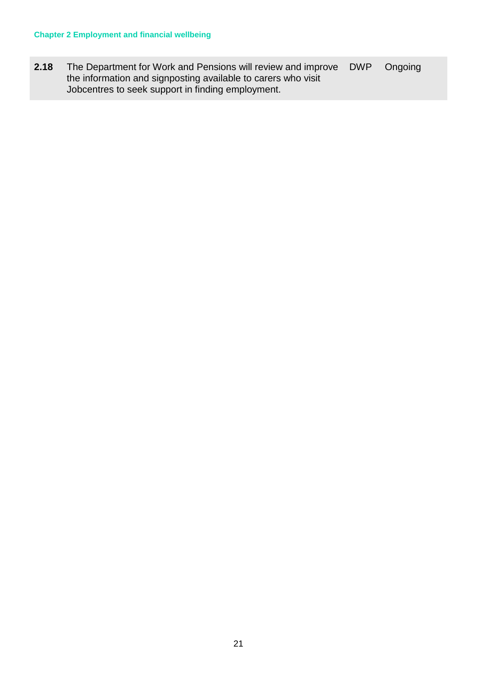**2.18** The Department for Work and Pensions will review and improve the information and signposting available to carers who visit Jobcentres to seek support in finding employment. DWP Ongoing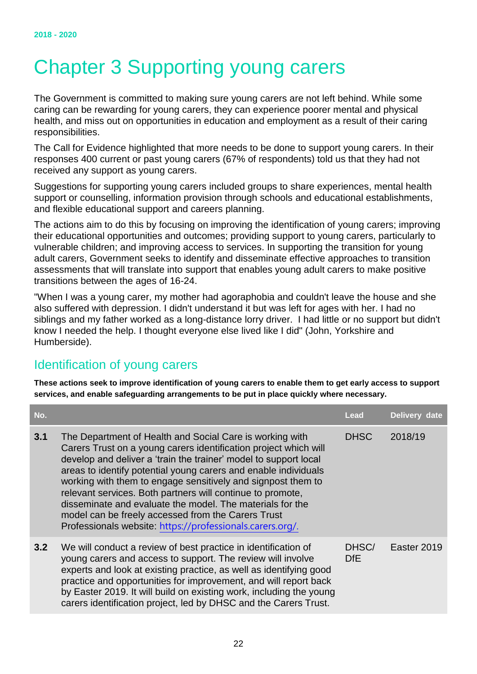# <span id="page-21-0"></span>Chapter 3 Supporting young carers

The Government is committed to making sure young carers are not left behind. While some caring can be rewarding for young carers, they can experience poorer mental and physical health, and miss out on opportunities in education and employment as a result of their caring responsibilities.

The Call for Evidence highlighted that more needs to be done to support young carers. In their responses 400 current or past young carers (67% of respondents) told us that they had not received any support as young carers.

Suggestions for supporting young carers included groups to share experiences, mental health support or counselling, information provision through schools and educational establishments, and flexible educational support and careers planning.

The actions aim to do this by focusing on improving the identification of young carers; improving their educational opportunities and outcomes; providing support to young carers, particularly to vulnerable children; and improving access to services. In supporting the transition for young adult carers, Government seeks to identify and disseminate effective approaches to transition assessments that will translate into support that enables young adult carers to make positive transitions between the ages of 16-24.

"When I was a young carer, my mother had agoraphobia and couldn't leave the house and she also suffered with depression. I didn't understand it but was left for ages with her. I had no siblings and my father worked as a long-distance lorry driver. I had little or no support but didn't know I needed the help. I thought everyone else lived like I did" (John, Yorkshire and Humberside).

### <span id="page-21-1"></span>Identification of young carers

**These actions seek to improve identification of young carers to enable them to get early access to support services, and enable safeguarding arrangements to be put in place quickly where necessary.**

| No. |                                                                                                                                                                                                                                                                                                                                                                                                                                                                                                                                                                                   | Lead                | Delivery date |
|-----|-----------------------------------------------------------------------------------------------------------------------------------------------------------------------------------------------------------------------------------------------------------------------------------------------------------------------------------------------------------------------------------------------------------------------------------------------------------------------------------------------------------------------------------------------------------------------------------|---------------------|---------------|
| 3.1 | The Department of Health and Social Care is working with<br>Carers Trust on a young carers identification project which will<br>develop and deliver a 'train the trainer' model to support local<br>areas to identify potential young carers and enable individuals<br>working with them to engage sensitively and signpost them to<br>relevant services. Both partners will continue to promote,<br>disseminate and evaluate the model. The materials for the<br>model can be freely accessed from the Carers Trust<br>Professionals website: https://professionals.carers.org/. | <b>DHSC</b>         | 2018/19       |
| 3.2 | We will conduct a review of best practice in identification of<br>young carers and access to support. The review will involve<br>experts and look at existing practice, as well as identifying good<br>practice and opportunities for improvement, and will report back<br>by Easter 2019. It will build on existing work, including the young<br>carers identification project, led by DHSC and the Carers Trust.                                                                                                                                                                | DHSC/<br><b>DfE</b> | Easter 2019   |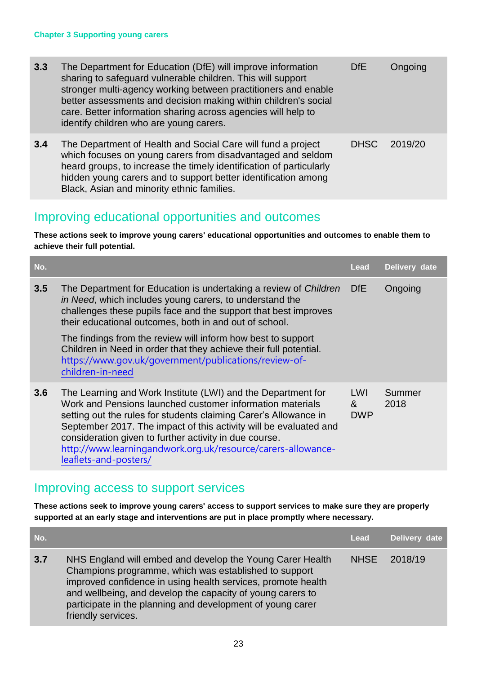| 3.3 | The Department for Education (DfE) will improve information<br>sharing to safeguard vulnerable children. This will support<br>stronger multi-agency working between practitioners and enable<br>better assessments and decision making within children's social<br>care. Better information sharing across agencies will help to<br>identify children who are young carers. | <b>DfE</b>  | Ongoing |
|-----|-----------------------------------------------------------------------------------------------------------------------------------------------------------------------------------------------------------------------------------------------------------------------------------------------------------------------------------------------------------------------------|-------------|---------|
| 3.4 | The Department of Health and Social Care will fund a project<br>which focuses on young carers from disadvantaged and seldom<br>heard groups, to increase the timely identification of particularly<br>hidden young carers and to support better identification among<br>Black, Asian and minority ethnic families.                                                          | <b>DHSC</b> | 2019/20 |

## <span id="page-22-0"></span>Improving educational opportunities and outcomes

**These actions seek to improve young carers' educational opportunities and outcomes to enable them to achieve their full potential.**

| No. |                                                                                                                                                                                                                                                                                                                                                                                                                       | Lead                                | Delivery date  |
|-----|-----------------------------------------------------------------------------------------------------------------------------------------------------------------------------------------------------------------------------------------------------------------------------------------------------------------------------------------------------------------------------------------------------------------------|-------------------------------------|----------------|
| 3.5 | The Department for Education is undertaking a review of Children<br>in Need, which includes young carers, to understand the<br>challenges these pupils face and the support that best improves<br>their educational outcomes, both in and out of school.                                                                                                                                                              | <b>DfE</b>                          | Ongoing        |
|     | The findings from the review will inform how best to support<br>Children in Need in order that they achieve their full potential.<br>https://www.gov.uk/government/publications/review-of-<br>children-in-need                                                                                                                                                                                                        |                                     |                |
| 3.6 | The Learning and Work Institute (LWI) and the Department for<br>Work and Pensions launched customer information materials<br>setting out the rules for students claiming Carer's Allowance in<br>September 2017. The impact of this activity will be evaluated and<br>consideration given to further activity in due course.<br>http://www.learningandwork.org.uk/resource/carers-allowance-<br>leaflets-and-posters/ | LWI<br>8 <sub>x</sub><br><b>DWP</b> | Summer<br>2018 |

### <span id="page-22-1"></span>Improving access to support services

**These actions seek to improve young carers' access to support services to make sure they are properly supported at an early stage and interventions are put in place promptly where necessary.** 

| No. |                                                                                                                                                                                                                                                                                                                                      | <b>Lead</b> | Delivery date |
|-----|--------------------------------------------------------------------------------------------------------------------------------------------------------------------------------------------------------------------------------------------------------------------------------------------------------------------------------------|-------------|---------------|
| 3.7 | NHS England will embed and develop the Young Carer Health<br>Champions programme, which was established to support<br>improved confidence in using health services, promote health<br>and wellbeing, and develop the capacity of young carers to<br>participate in the planning and development of young carer<br>friendly services. | <b>NHSE</b> | 2018/19       |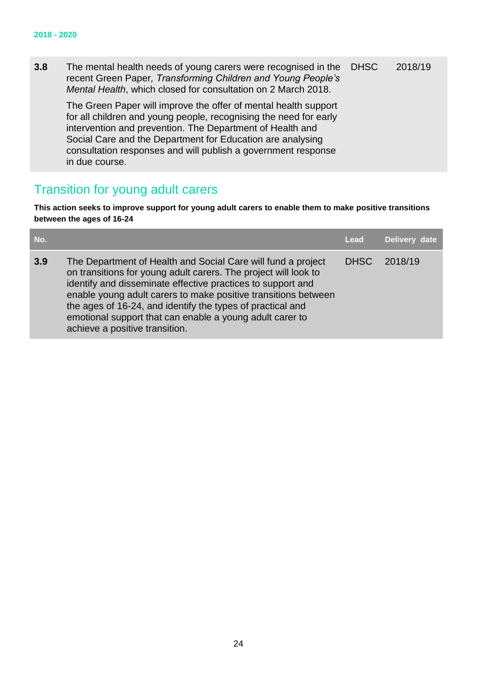**3.8** The mental health needs of young carers were recognised in the recent Green Paper*, Transforming Children and Young People's Mental Health*, which closed for consultation on 2 March 2018. The Green Paper will improve the offer of mental health support for all children and young people, recognising the need for early intervention and prevention. The Department of Health and Social Care and the Department for Education are analysing consultation responses and will publish a government response in due course. DHSC 2018/19

### <span id="page-23-0"></span>Transition for young adult carers

**This action seeks to improve support for young adult carers to enable them to make positive transitions between the ages of 16-24**

| No. |                                                                                                                                                                                                                                                                                                                                                                                                                              | Lead        | Delivery date |
|-----|------------------------------------------------------------------------------------------------------------------------------------------------------------------------------------------------------------------------------------------------------------------------------------------------------------------------------------------------------------------------------------------------------------------------------|-------------|---------------|
| 3.9 | The Department of Health and Social Care will fund a project<br>on transitions for young adult carers. The project will look to<br>identify and disseminate effective practices to support and<br>enable young adult carers to make positive transitions between<br>the ages of 16-24, and identify the types of practical and<br>emotional support that can enable a young adult carer to<br>achieve a positive transition. | <b>DHSC</b> | 2018/19       |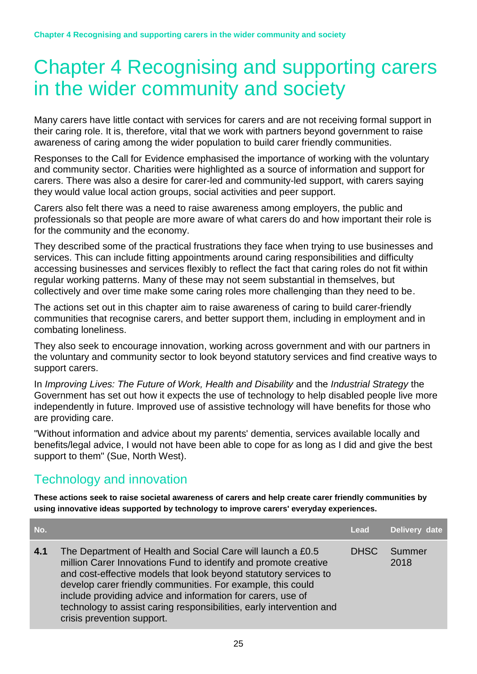# <span id="page-24-0"></span>Chapter 4 Recognising and supporting carers in the wider community and society

Many carers have little contact with services for carers and are not receiving formal support in their caring role. It is, therefore, vital that we work with partners beyond government to raise awareness of caring among the wider population to build carer friendly communities.

Responses to the Call for Evidence emphasised the importance of working with the voluntary and community sector. Charities were highlighted as a source of information and support for carers. There was also a desire for carer-led and community-led support, with carers saying they would value local action groups, social activities and peer support.

Carers also felt there was a need to raise awareness among employers, the public and professionals so that people are more aware of what carers do and how important their role is for the community and the economy.

They described some of the practical frustrations they face when trying to use businesses and services. This can include fitting appointments around caring responsibilities and difficulty accessing businesses and services flexibly to reflect the fact that caring roles do not fit within regular working patterns. Many of these may not seem substantial in themselves, but collectively and over time make some caring roles more challenging than they need to be.

The actions set out in this chapter aim to raise awareness of caring to build carer-friendly communities that recognise carers, and better support them, including in employment and in combating loneliness.

They also seek to encourage innovation, working across government and with our partners in the voluntary and community sector to look beyond statutory services and find creative ways to support carers.

In *Improving Lives: The Future of Work, Health and Disability* and the *Industrial Strategy* the Government has set out how it expects the use of technology to help disabled people live more independently in future. Improved use of assistive technology will have benefits for those who are providing care.

"Without information and advice about my parents' dementia, services available locally and benefits/legal advice, I would not have been able to cope for as long as I did and give the best support to them" (Sue, North West).

## <span id="page-24-1"></span>Technology and innovation

**These actions seek to raise societal awareness of carers and help create carer friendly communities by using innovative ideas supported by technology to improve carers' everyday experiences.**

| No. |                                                                                                                                                                                                                                                                                                                                                                                                                                        | Lead        | Delivery date  |
|-----|----------------------------------------------------------------------------------------------------------------------------------------------------------------------------------------------------------------------------------------------------------------------------------------------------------------------------------------------------------------------------------------------------------------------------------------|-------------|----------------|
| 4.1 | The Department of Health and Social Care will launch a £0.5<br>million Carer Innovations Fund to identify and promote creative<br>and cost-effective models that look beyond statutory services to<br>develop carer friendly communities. For example, this could<br>include providing advice and information for carers, use of<br>technology to assist caring responsibilities, early intervention and<br>crisis prevention support. | <b>DHSC</b> | Summer<br>2018 |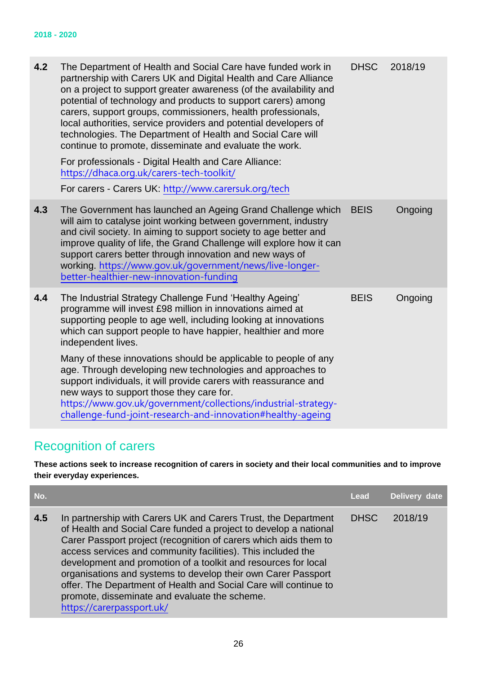| 4.2 | The Department of Health and Social Care have funded work in<br>partnership with Carers UK and Digital Health and Care Alliance<br>on a project to support greater awareness (of the availability and<br>potential of technology and products to support carers) among<br>carers, support groups, commissioners, health professionals,<br>local authorities, service providers and potential developers of<br>technologies. The Department of Health and Social Care will<br>continue to promote, disseminate and evaluate the work.<br>For professionals - Digital Health and Care Alliance:<br>https://dhaca.org.uk/carers-tech-toolkit/<br>For carers - Carers UK: http://www.carersuk.org/tech | <b>DHSC</b> | 2018/19 |
|-----|----------------------------------------------------------------------------------------------------------------------------------------------------------------------------------------------------------------------------------------------------------------------------------------------------------------------------------------------------------------------------------------------------------------------------------------------------------------------------------------------------------------------------------------------------------------------------------------------------------------------------------------------------------------------------------------------------|-------------|---------|
| 4.3 | The Government has launched an Ageing Grand Challenge which<br>will aim to catalyse joint working between government, industry<br>and civil society. In aiming to support society to age better and<br>improve quality of life, the Grand Challenge will explore how it can<br>support carers better through innovation and new ways of<br>working. https://www.gov.uk/government/news/live-longer-<br>better-healthier-new-innovation-funding                                                                                                                                                                                                                                                     | <b>BEIS</b> | Ongoing |
| 4.4 | The Industrial Strategy Challenge Fund 'Healthy Ageing'<br>programme will invest £98 million in innovations aimed at<br>supporting people to age well, including looking at innovations<br>which can support people to have happier, healthier and more<br>independent lives.                                                                                                                                                                                                                                                                                                                                                                                                                      | <b>BEIS</b> | Ongoing |
|     | Many of these innovations should be applicable to people of any<br>age. Through developing new technologies and approaches to<br>support individuals, it will provide carers with reassurance and<br>new ways to support those they care for.<br>https://www.gov.uk/government/collections/industrial-strategy-<br>challenge-fund-joint-research-and-innovation#healthy-ageing                                                                                                                                                                                                                                                                                                                     |             |         |

# <span id="page-25-0"></span>Recognition of carers

**These actions seek to increase recognition of carers in society and their local communities and to improve their everyday experiences.**

| No. |                                                                                                                                                                                                                                                                                                                                                                                                                                                                                                                                                             | Lead        | Delivery date |
|-----|-------------------------------------------------------------------------------------------------------------------------------------------------------------------------------------------------------------------------------------------------------------------------------------------------------------------------------------------------------------------------------------------------------------------------------------------------------------------------------------------------------------------------------------------------------------|-------------|---------------|
| 4.5 | In partnership with Carers UK and Carers Trust, the Department<br>of Health and Social Care funded a project to develop a national<br>Carer Passport project (recognition of carers which aids them to<br>access services and community facilities). This included the<br>development and promotion of a toolkit and resources for local<br>organisations and systems to develop their own Carer Passport<br>offer. The Department of Health and Social Care will continue to<br>promote, disseminate and evaluate the scheme.<br>https://carerpassport.uk/ | <b>DHSC</b> | 2018/19       |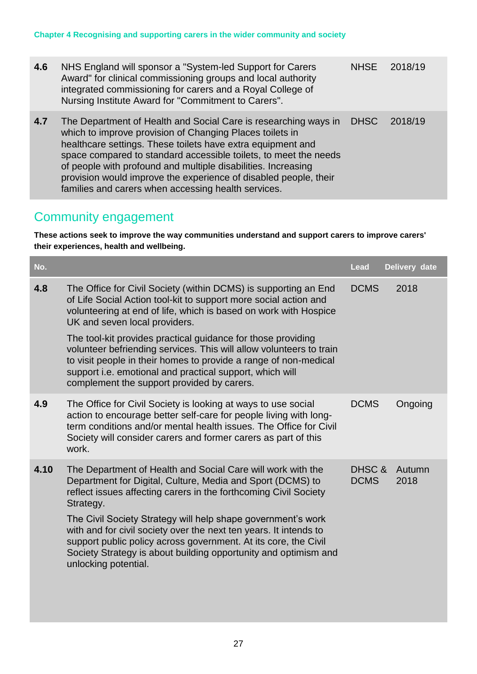| 4.6 | NHS England will sponsor a "System-led Support for Carers"<br>Award" for clinical commissioning groups and local authority<br>integrated commissioning for carers and a Royal College of<br>Nursing Institute Award for "Commitment to Carers".                                                                                                                                                                                                            | <b>NHSE</b> | 2018/19 |
|-----|------------------------------------------------------------------------------------------------------------------------------------------------------------------------------------------------------------------------------------------------------------------------------------------------------------------------------------------------------------------------------------------------------------------------------------------------------------|-------------|---------|
| 4.7 | The Department of Health and Social Care is researching ways in<br>which to improve provision of Changing Places toilets in<br>healthcare settings. These toilets have extra equipment and<br>space compared to standard accessible toilets, to meet the needs<br>of people with profound and multiple disabilities. Increasing<br>provision would improve the experience of disabled people, their<br>families and carers when accessing health services. | <b>DHSC</b> | 2018/19 |

## <span id="page-26-0"></span>Community engagement

**These actions seek to improve the way communities understand and support carers to improve carers' their experiences, health and wellbeing.**

| No.  |                                                                                                                                                                                                                                                                                                                   | Lead                  | Delivery date  |
|------|-------------------------------------------------------------------------------------------------------------------------------------------------------------------------------------------------------------------------------------------------------------------------------------------------------------------|-----------------------|----------------|
| 4.8  | The Office for Civil Society (within DCMS) is supporting an End<br>of Life Social Action tool-kit to support more social action and<br>volunteering at end of life, which is based on work with Hospice<br>UK and seven local providers.                                                                          | <b>DCMS</b>           | 2018           |
|      | The tool-kit provides practical guidance for those providing<br>volunteer befriending services. This will allow volunteers to train<br>to visit people in their homes to provide a range of non-medical<br>support i.e. emotional and practical support, which will<br>complement the support provided by carers. |                       |                |
| 4.9  | The Office for Civil Society is looking at ways to use social<br>action to encourage better self-care for people living with long-<br>term conditions and/or mental health issues. The Office for Civil<br>Society will consider carers and former carers as part of this<br>work.                                | <b>DCMS</b>           | Ongoing        |
| 4.10 | The Department of Health and Social Care will work with the<br>Department for Digital, Culture, Media and Sport (DCMS) to<br>reflect issues affecting carers in the forthcoming Civil Society<br>Strategy.                                                                                                        | DHSC &<br><b>DCMS</b> | Autumn<br>2018 |
|      | The Civil Society Strategy will help shape government's work<br>with and for civil society over the next ten years. It intends to<br>support public policy across government. At its core, the Civil<br>Society Strategy is about building opportunity and optimism and<br>unlocking potential.                   |                       |                |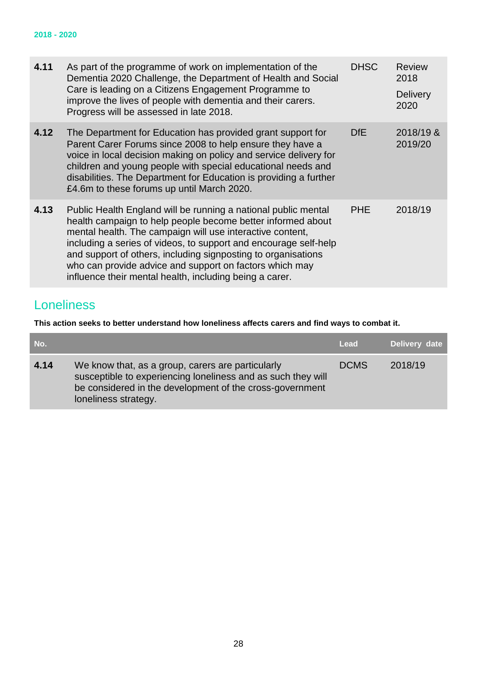<span id="page-27-1"></span>

| 4.11 | As part of the programme of work on implementation of the<br>Dementia 2020 Challenge, the Department of Health and Social<br>Care is leading on a Citizens Engagement Programme to<br>improve the lives of people with dementia and their carers.<br>Progress will be assessed in late 2018.                                                                                                                                                          | <b>DHSC</b> | <b>Review</b><br>2018<br><b>Delivery</b><br>2020 |
|------|-------------------------------------------------------------------------------------------------------------------------------------------------------------------------------------------------------------------------------------------------------------------------------------------------------------------------------------------------------------------------------------------------------------------------------------------------------|-------------|--------------------------------------------------|
| 4.12 | The Department for Education has provided grant support for<br>Parent Carer Forums since 2008 to help ensure they have a<br>voice in local decision making on policy and service delivery for<br>children and young people with special educational needs and<br>disabilities. The Department for Education is providing a further<br>£4.6m to these forums up until March 2020.                                                                      | DfE         | 2018/19 &<br>2019/20                             |
| 4.13 | Public Health England will be running a national public mental<br>health campaign to help people become better informed about<br>mental health. The campaign will use interactive content,<br>including a series of videos, to support and encourage self-help<br>and support of others, including signposting to organisations<br>who can provide advice and support on factors which may<br>influence their mental health, including being a carer. | <b>PHE</b>  | 2018/19                                          |

## <span id="page-27-0"></span>Loneliness

**This action seeks to better understand how loneliness affects carers and find ways to combat it.**

| No.  |                                                                                                                                                                                                       | Lead        | Delivery date |
|------|-------------------------------------------------------------------------------------------------------------------------------------------------------------------------------------------------------|-------------|---------------|
| 4.14 | We know that, as a group, carers are particularly<br>susceptible to experiencing loneliness and as such they will<br>be considered in the development of the cross-government<br>loneliness strategy. | <b>DCMS</b> | 2018/19       |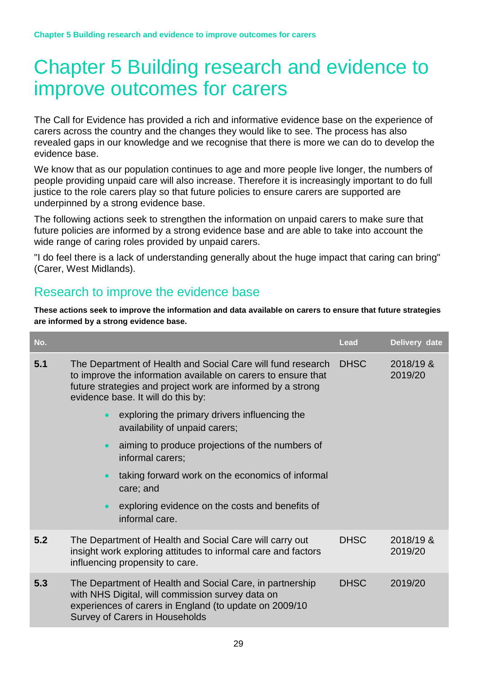# Chapter 5 Building research and evidence to improve outcomes for carers

The Call for Evidence has provided a rich and informative evidence base on the experience of carers across the country and the changes they would like to see. The process has also revealed gaps in our knowledge and we recognise that there is more we can do to develop the evidence base.

We know that as our population continues to age and more people live longer, the numbers of people providing unpaid care will also increase. Therefore it is increasingly important to do full justice to the role carers play so that future policies to ensure carers are supported are underpinned by a strong evidence base.

The following actions seek to strengthen the information on unpaid carers to make sure that future policies are informed by a strong evidence base and are able to take into account the wide range of caring roles provided by unpaid carers.

"I do feel there is a lack of understanding generally about the huge impact that caring can bring" (Carer, West Midlands).

## <span id="page-28-0"></span>Research to improve the evidence base

**These actions seek to improve the information and data available on carers to ensure that future strategies are informed by a strong evidence base.** 

| No. |                                                                                                                                                                                                                                   | <b>Lead</b> | Delivery date        |
|-----|-----------------------------------------------------------------------------------------------------------------------------------------------------------------------------------------------------------------------------------|-------------|----------------------|
| 5.1 | The Department of Health and Social Care will fund research<br>to improve the information available on carers to ensure that<br>future strategies and project work are informed by a strong<br>evidence base. It will do this by: | <b>DHSC</b> | 2018/19 &<br>2019/20 |
|     | exploring the primary drivers influencing the<br>$\bullet$<br>availability of unpaid carers;                                                                                                                                      |             |                      |
|     | aiming to produce projections of the numbers of<br>$\bullet$<br>informal carers;                                                                                                                                                  |             |                      |
|     | taking forward work on the economics of informal<br>$\bullet$<br>care; and                                                                                                                                                        |             |                      |
|     | exploring evidence on the costs and benefits of<br>$\bullet$<br>informal care.                                                                                                                                                    |             |                      |
| 5.2 | The Department of Health and Social Care will carry out<br>insight work exploring attitudes to informal care and factors<br>influencing propensity to care.                                                                       | <b>DHSC</b> | 2018/19 &<br>2019/20 |
| 5.3 | The Department of Health and Social Care, in partnership<br>with NHS Digital, will commission survey data on<br>experiences of carers in England (to update on 2009/10<br><b>Survey of Carers in Households</b>                   | <b>DHSC</b> | 2019/20              |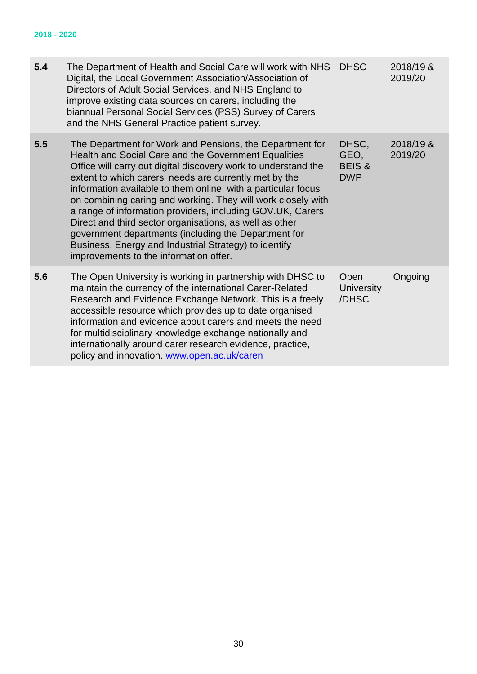#### **2018 - 2020**

| 5.4 | The Department of Health and Social Care will work with NHS<br>Digital, the Local Government Association/Association of<br>Directors of Adult Social Services, and NHS England to<br>improve existing data sources on carers, including the<br>biannual Personal Social Services (PSS) Survey of Carers<br>and the NHS General Practice patient survey.                                                                                                                                                                                                                                                                                                           | <b>DHSC</b>                                      | 2018/19 &<br>2019/20 |
|-----|-------------------------------------------------------------------------------------------------------------------------------------------------------------------------------------------------------------------------------------------------------------------------------------------------------------------------------------------------------------------------------------------------------------------------------------------------------------------------------------------------------------------------------------------------------------------------------------------------------------------------------------------------------------------|--------------------------------------------------|----------------------|
| 5.5 | The Department for Work and Pensions, the Department for<br>Health and Social Care and the Government Equalities<br>Office will carry out digital discovery work to understand the<br>extent to which carers' needs are currently met by the<br>information available to them online, with a particular focus<br>on combining caring and working. They will work closely with<br>a range of information providers, including GOV.UK, Carers<br>Direct and third sector organisations, as well as other<br>government departments (including the Department for<br>Business, Energy and Industrial Strategy) to identify<br>improvements to the information offer. | DHSC,<br>GEO,<br><b>BEIS &amp;</b><br><b>DWP</b> | 2018/19 &<br>2019/20 |
| 5.6 | The Open University is working in partnership with DHSC to<br>maintain the currency of the international Carer-Related<br>Research and Evidence Exchange Network. This is a freely<br>accessible resource which provides up to date organised<br>information and evidence about carers and meets the need<br>for multidisciplinary knowledge exchange nationally and<br>internationally around carer research evidence, practice,<br>policy and innovation. www.open.ac.uk/caren                                                                                                                                                                                  | Open<br><b>University</b><br>/DHSC               | Ongoing              |